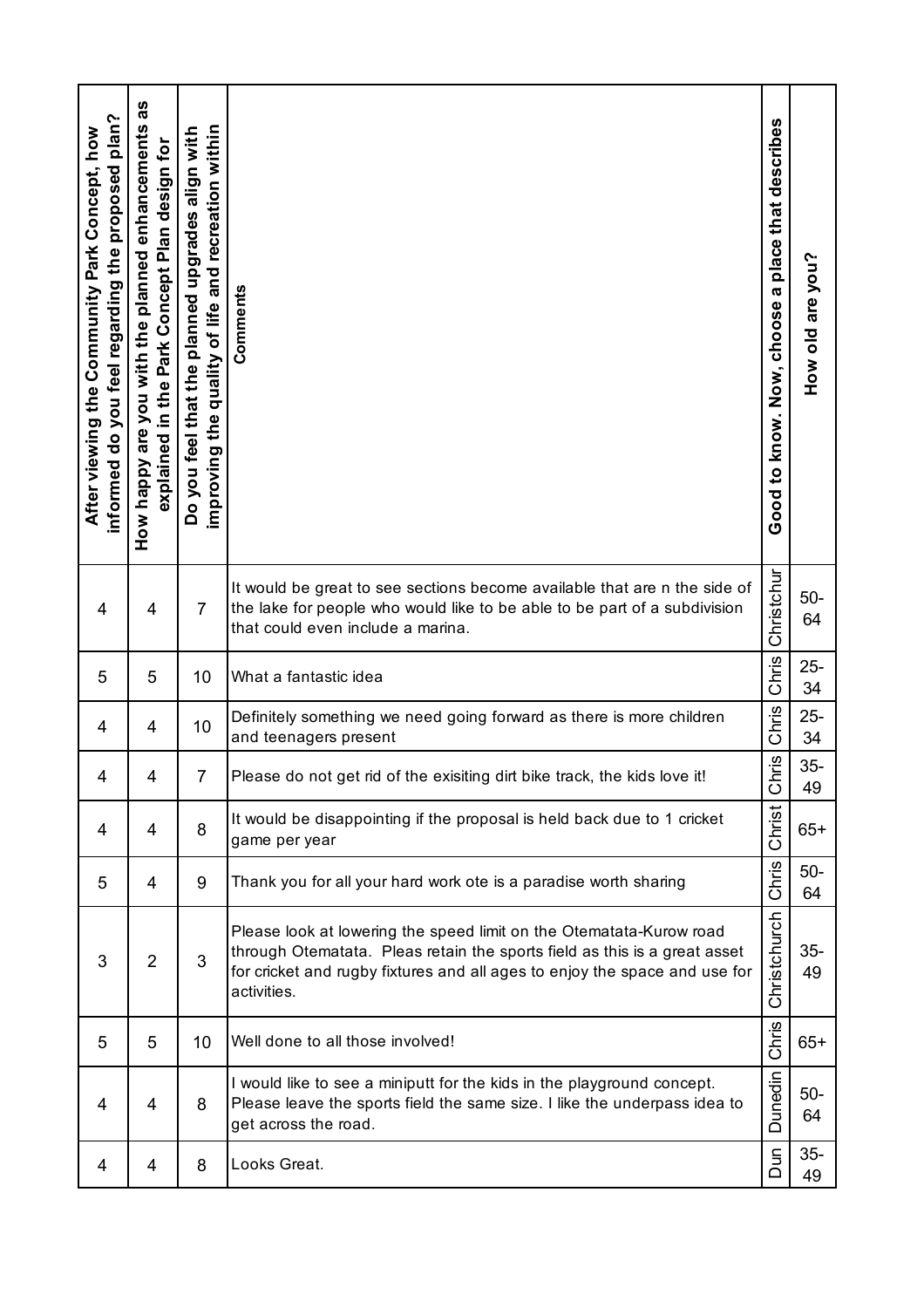| plan?<br>Now<br>proposed<br>After viewing the Community Park Concept,<br>you feel regarding the<br>informed do | as<br>enhancements<br>for<br>explained in the Park Concept Plan design<br>you with the planned<br>are<br><b>How happy</b> | improving the quality of life and recreation within<br>Do you feel that the planned upgrades align with | Comments                                                                                                                                                                                                                                      | place that describes<br>$\boldsymbol{\sigma}$<br>Good to know. Now, choose | How old are you? |
|----------------------------------------------------------------------------------------------------------------|---------------------------------------------------------------------------------------------------------------------------|---------------------------------------------------------------------------------------------------------|-----------------------------------------------------------------------------------------------------------------------------------------------------------------------------------------------------------------------------------------------|----------------------------------------------------------------------------|------------------|
| 4                                                                                                              | 4                                                                                                                         | $\overline{7}$                                                                                          | It would be great to see sections become available that are n the side of<br>the lake for people who would like to be able to be part of a subdivision<br>that could even include a marina.                                                   | Christchur                                                                 | $50-$<br>64      |
| 5                                                                                                              | 5                                                                                                                         | 10                                                                                                      | What a fantastic idea                                                                                                                                                                                                                         | Chris                                                                      | $25 -$<br>34     |
| 4                                                                                                              | 4                                                                                                                         | 10                                                                                                      | Definitely something we need going forward as there is more children<br>and teenagers present                                                                                                                                                 | Chris                                                                      | $25 -$<br>34     |
| 4                                                                                                              | 4                                                                                                                         | 7                                                                                                       | Please do not get rid of the exisiting dirt bike track, the kids love it!                                                                                                                                                                     | hris<br>ō                                                                  | $35-$<br>49      |
| 4                                                                                                              | 4                                                                                                                         | 8                                                                                                       | It would be disappointing if the proposal is held back due to 1 cricket<br>game per year                                                                                                                                                      | Christ                                                                     | $65+$            |
| 5                                                                                                              | 4                                                                                                                         | 9                                                                                                       | Thank you for all your hard work ote is a paradise worth sharing                                                                                                                                                                              | Chris                                                                      | $50 -$<br>64     |
| 3                                                                                                              | $\overline{2}$                                                                                                            | $\mathfrak{S}$                                                                                          | Please look at lowering the speed limit on the Otematata-Kurow road<br>through Otematata. Pleas retain the sports field as this is a great asset<br>for cricket and rugby fixtures and all ages to enjoy the space and use for<br>activities. | Christchurch                                                               | $35-$<br>49      |
| 5                                                                                                              | 5                                                                                                                         | 10                                                                                                      | Well done to all those involved!                                                                                                                                                                                                              | Chris                                                                      | $65+$            |
| 4                                                                                                              | 4                                                                                                                         | 8                                                                                                       | I would like to see a miniputt for the kids in the playground concept.<br>Please leave the sports field the same size. I like the underpass idea to<br>get across the road.                                                                   | Dunedin                                                                    | $50 -$<br>64     |
| 4                                                                                                              | 4                                                                                                                         | 8                                                                                                       | Looks Great.                                                                                                                                                                                                                                  | Dun                                                                        | $35-$<br>49      |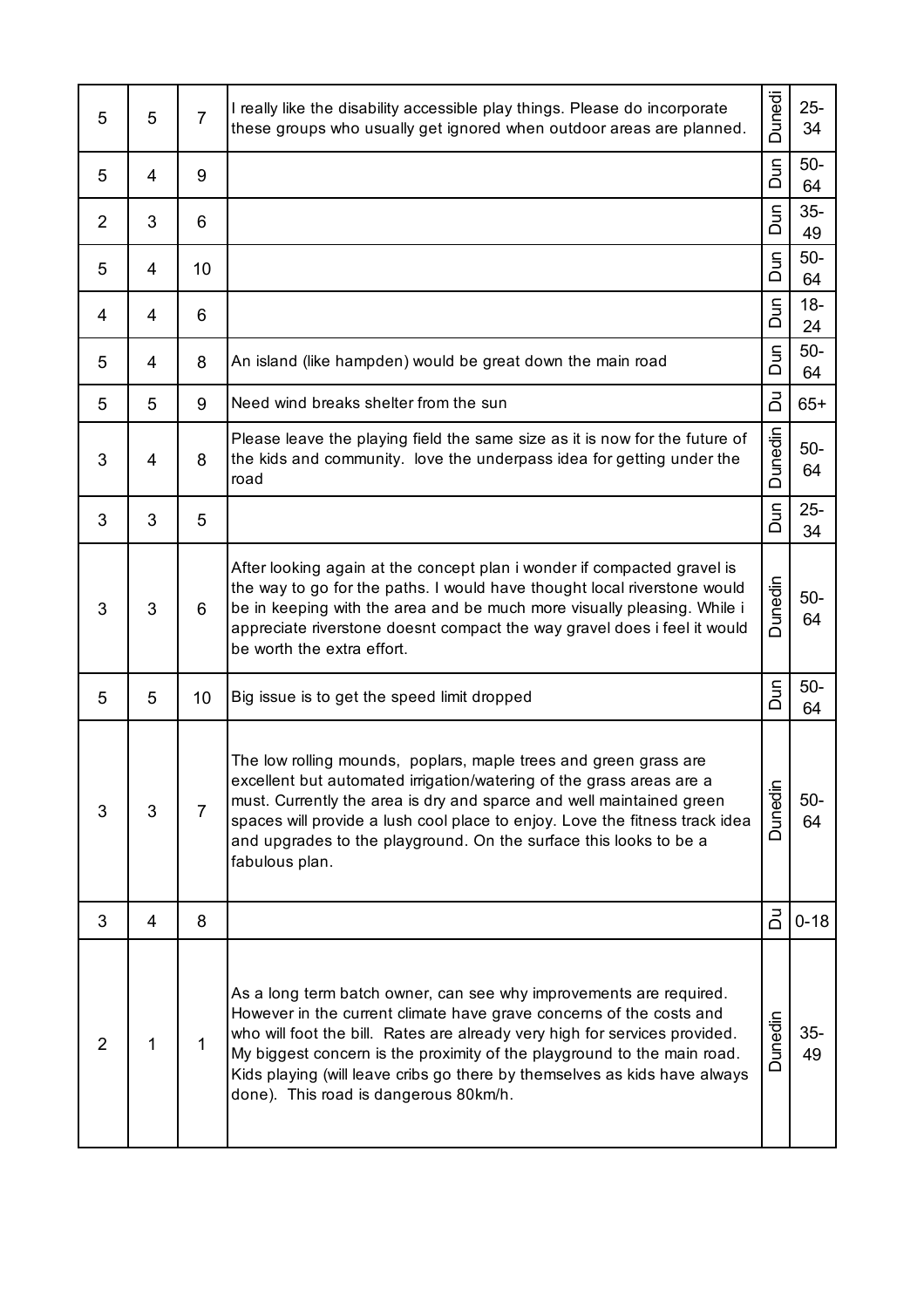| 5              | 5 | $\overline{7}$ | I really like the disability accessible play things. Please do incorporate<br>these groups who usually get ignored when outdoor areas are planned.                                                                                                                                                                                                                                                                       | Dunedi         | $25 -$<br>34 |
|----------------|---|----------------|--------------------------------------------------------------------------------------------------------------------------------------------------------------------------------------------------------------------------------------------------------------------------------------------------------------------------------------------------------------------------------------------------------------------------|----------------|--------------|
| 5              | 4 | 9              |                                                                                                                                                                                                                                                                                                                                                                                                                          | Dun            | $50-$<br>64  |
| $\overline{2}$ | 3 | 6              |                                                                                                                                                                                                                                                                                                                                                                                                                          | Sid            | $35-$<br>49  |
| 5              | 4 | 10             |                                                                                                                                                                                                                                                                                                                                                                                                                          | Sid            | $50-$<br>64  |
| 4              | 4 | 6              |                                                                                                                                                                                                                                                                                                                                                                                                                          | <b>Side</b>    | $18 -$<br>24 |
| 5              | 4 | 8              | An island (like hampden) would be great down the main road                                                                                                                                                                                                                                                                                                                                                               | <b>Side</b>    | $50-$<br>64  |
| 5              | 5 | 9              | Need wind breaks shelter from the sun                                                                                                                                                                                                                                                                                                                                                                                    | لا             | $65+$        |
| 3              | 4 | 8              | Please leave the playing field the same size as it is now for the future of<br>the kids and community. love the underpass idea for getting under the<br>road                                                                                                                                                                                                                                                             | <b>Dunedin</b> | $50-$<br>64  |
| 3              | 3 | 5              |                                                                                                                                                                                                                                                                                                                                                                                                                          | Sun            | $25 -$<br>34 |
| 3              | 3 | 6              | After looking again at the concept plan i wonder if compacted gravel is<br>the way to go for the paths. I would have thought local riverstone would<br>be in keeping with the area and be much more visually pleasing. While i<br>appreciate riverstone doesnt compact the way gravel does i feel it would<br>be worth the extra effort.                                                                                 | <b>Dunedin</b> | $50-$<br>64  |
| 5              | 5 | 10             | Big issue is to get the speed limit dropped                                                                                                                                                                                                                                                                                                                                                                              | Sun            | $50-$<br>64  |
| 3              | 3 | $\overline{7}$ | The low rolling mounds, poplars, maple trees and green grass are<br>excellent but automated irrigation/watering of the grass areas are a<br>must. Currently the area is dry and sparce and well maintained green<br>spaces will provide a lush cool place to enjoy. Love the fitness track idea<br>and upgrades to the playground. On the surface this looks to be a<br>fabulous plan.                                   | <b>Dunedin</b> | $50-$<br>64  |
| 3              | 4 | 8              |                                                                                                                                                                                                                                                                                                                                                                                                                          | ∃              | $0 - 18$     |
| $\overline{2}$ | 1 | 1              | As a long term batch owner, can see why improvements are required.<br>However in the current climate have grave concerns of the costs and<br>who will foot the bill. Rates are already very high for services provided.<br>My biggest concern is the proximity of the playground to the main road.<br>Kids playing (will leave cribs go there by themselves as kids have always<br>done). This road is dangerous 80km/h. | <b>Dunedin</b> | $35-$<br>49  |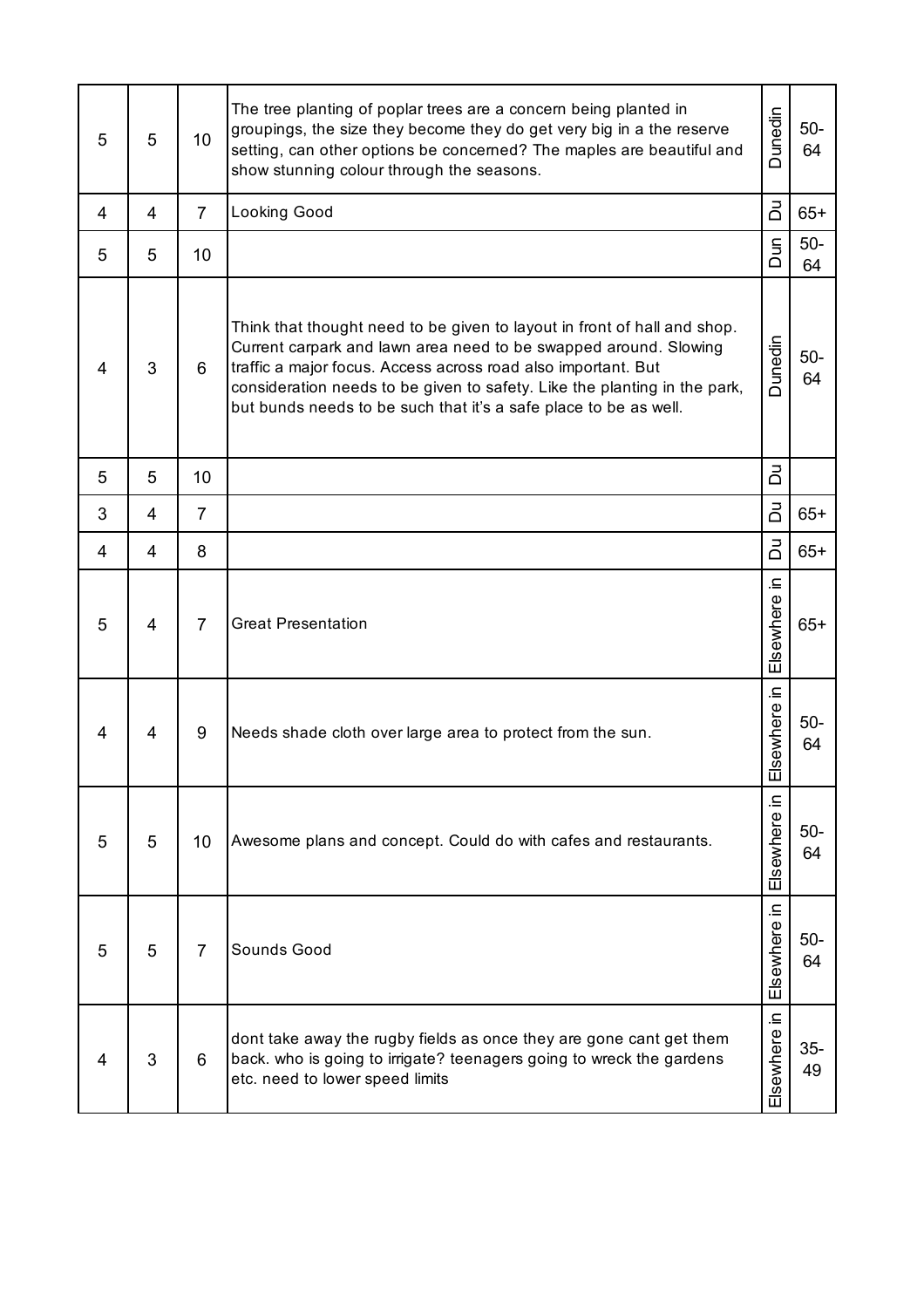| 5 | 5 | 10             | The tree planting of poplar trees are a concern being planted in<br>groupings, the size they become they do get very big in a the reserve<br>setting, can other options be concerned? The maples are beautiful and<br>show stunning colour through the seasons.                                                                                                | <b>Dunedin</b>  | $50-$<br>64 |
|---|---|----------------|----------------------------------------------------------------------------------------------------------------------------------------------------------------------------------------------------------------------------------------------------------------------------------------------------------------------------------------------------------------|-----------------|-------------|
| 4 | 4 | $\overline{7}$ | Looking Good                                                                                                                                                                                                                                                                                                                                                   | ā               | $65+$       |
| 5 | 5 | 10             |                                                                                                                                                                                                                                                                                                                                                                | Dun             | $50-$<br>64 |
| 4 | 3 | 6              | Think that thought need to be given to layout in front of hall and shop.<br>Current carpark and lawn area need to be swapped around. Slowing<br>traffic a major focus. Access across road also important. But<br>consideration needs to be given to safety. Like the planting in the park,<br>but bunds needs to be such that it's a safe place to be as well. | <b>Dunedin</b>  | $50-$<br>64 |
| 5 | 5 | 10             |                                                                                                                                                                                                                                                                                                                                                                | ā               |             |
| 3 | 4 | $\overline{7}$ |                                                                                                                                                                                                                                                                                                                                                                | ă               | $65+$       |
| 4 | 4 | 8              |                                                                                                                                                                                                                                                                                                                                                                | ă               | $65+$       |
| 5 | 4 | $\overline{7}$ | <b>Great Presentation</b>                                                                                                                                                                                                                                                                                                                                      | ⊇.<br>Elsewhere | $65+$       |
| 4 | 4 | 9              | Needs shade cloth over large area to protect from the sun.                                                                                                                                                                                                                                                                                                     | 크.<br>Elsewhere | $50-$<br>64 |
| 5 | 5 | 10             | Awesome plans and concept. Could do with cafes and restaurants.                                                                                                                                                                                                                                                                                                | 크.<br>Elsewhere | $50-$<br>64 |
| 5 | 5 | $\overline{7}$ | Sounds Good                                                                                                                                                                                                                                                                                                                                                    | 그.<br>Elsewhere | $50-$<br>64 |
| 4 | 3 | 6              | dont take away the rugby fields as once they are gone cant get them<br>back. who is going to irrigate? teenagers going to wreck the gardens<br>etc. need to lower speed limits                                                                                                                                                                                 | 크.<br>Elsewhere | $35-$<br>49 |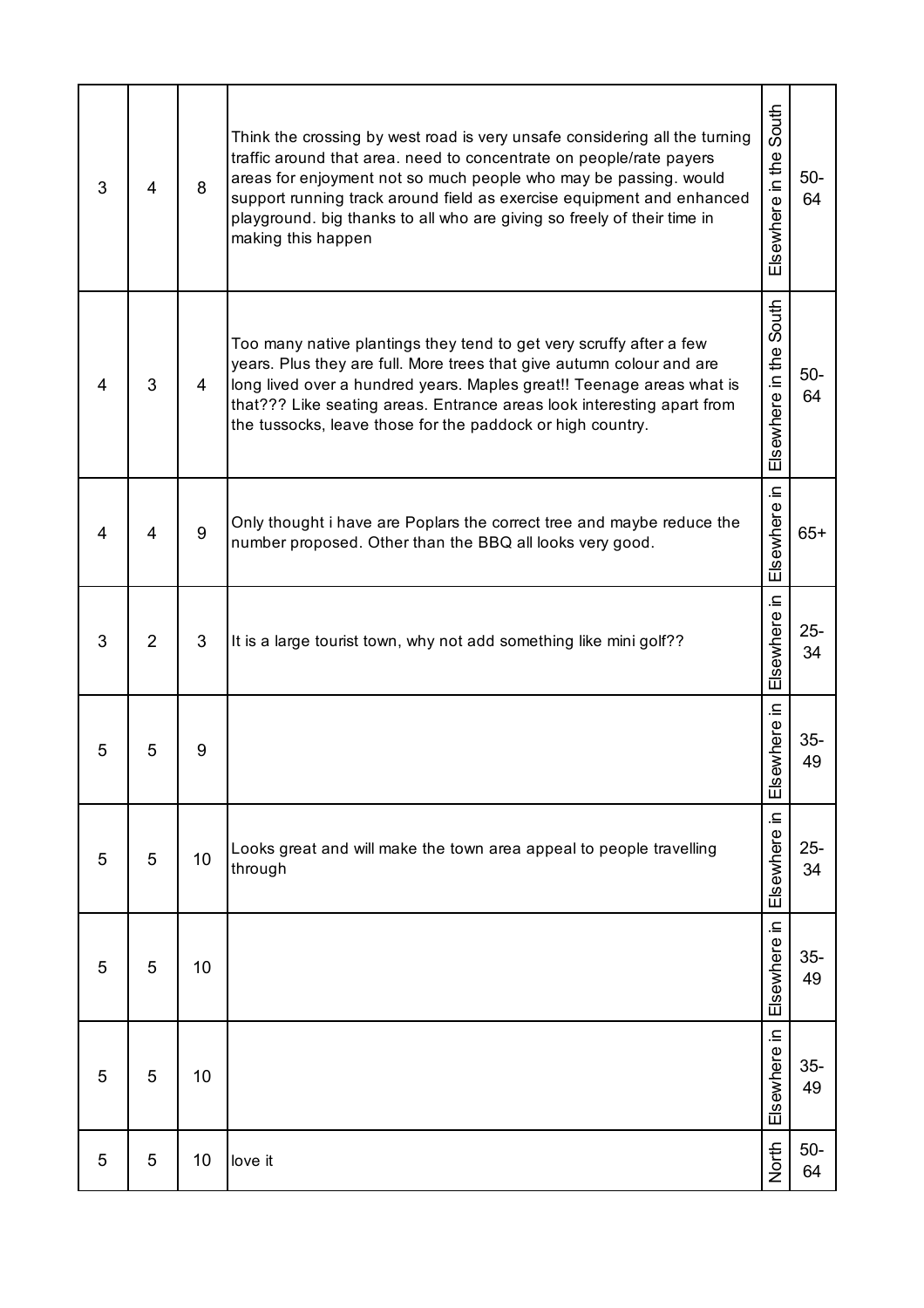| 3 | $\overline{4}$ | 8  | Think the crossing by west road is very unsafe considering all the turning<br>traffic around that area. need to concentrate on people/rate payers<br>areas for enjoyment not so much people who may be passing. would<br>support running track around field as exercise equipment and enhanced<br>playground. big thanks to all who are giving so freely of their time in<br>making this happen | South<br>Elsewhere in the | $50-$<br>64  |
|---|----------------|----|-------------------------------------------------------------------------------------------------------------------------------------------------------------------------------------------------------------------------------------------------------------------------------------------------------------------------------------------------------------------------------------------------|---------------------------|--------------|
| 4 | 3              | 4  | Too many native plantings they tend to get very scruffy after a few<br>years. Plus they are full. More trees that give autumn colour and are<br>long lived over a hundred years. Maples great!! Teenage areas what is<br>that??? Like seating areas. Entrance areas look interesting apart from<br>the tussocks, leave those for the paddock or high country.                                   | South<br>Elsewhere in the | $50-$<br>64  |
| 4 | 4              | 9  | Only thought i have are Poplars the correct tree and maybe reduce the<br>number proposed. Other than the BBQ all looks very good.                                                                                                                                                                                                                                                               | 크.<br>Elsewhere           | $65+$        |
| 3 | $\overline{2}$ | 3  | It is a large tourist town, why not add something like mini golf??                                                                                                                                                                                                                                                                                                                              | Elsewhere in              | $25 -$<br>34 |
| 5 | 5              | 9  |                                                                                                                                                                                                                                                                                                                                                                                                 | ⊒.<br>ewhere<br>띪         | $35-$<br>49  |
| 5 | 5              | 10 | Looks great and will make the town area appeal to people travelling<br>through                                                                                                                                                                                                                                                                                                                  | ⊇.<br>Elsewhere           | $25 -$<br>34 |
| 5 | 5              | 10 |                                                                                                                                                                                                                                                                                                                                                                                                 | Elsewhere in              | $35-$<br>49  |
| 5 | 5              | 10 |                                                                                                                                                                                                                                                                                                                                                                                                 | Elsewhere in              | $35-$<br>49  |
| 5 | 5              | 10 | love it                                                                                                                                                                                                                                                                                                                                                                                         | North                     | $50-$<br>64  |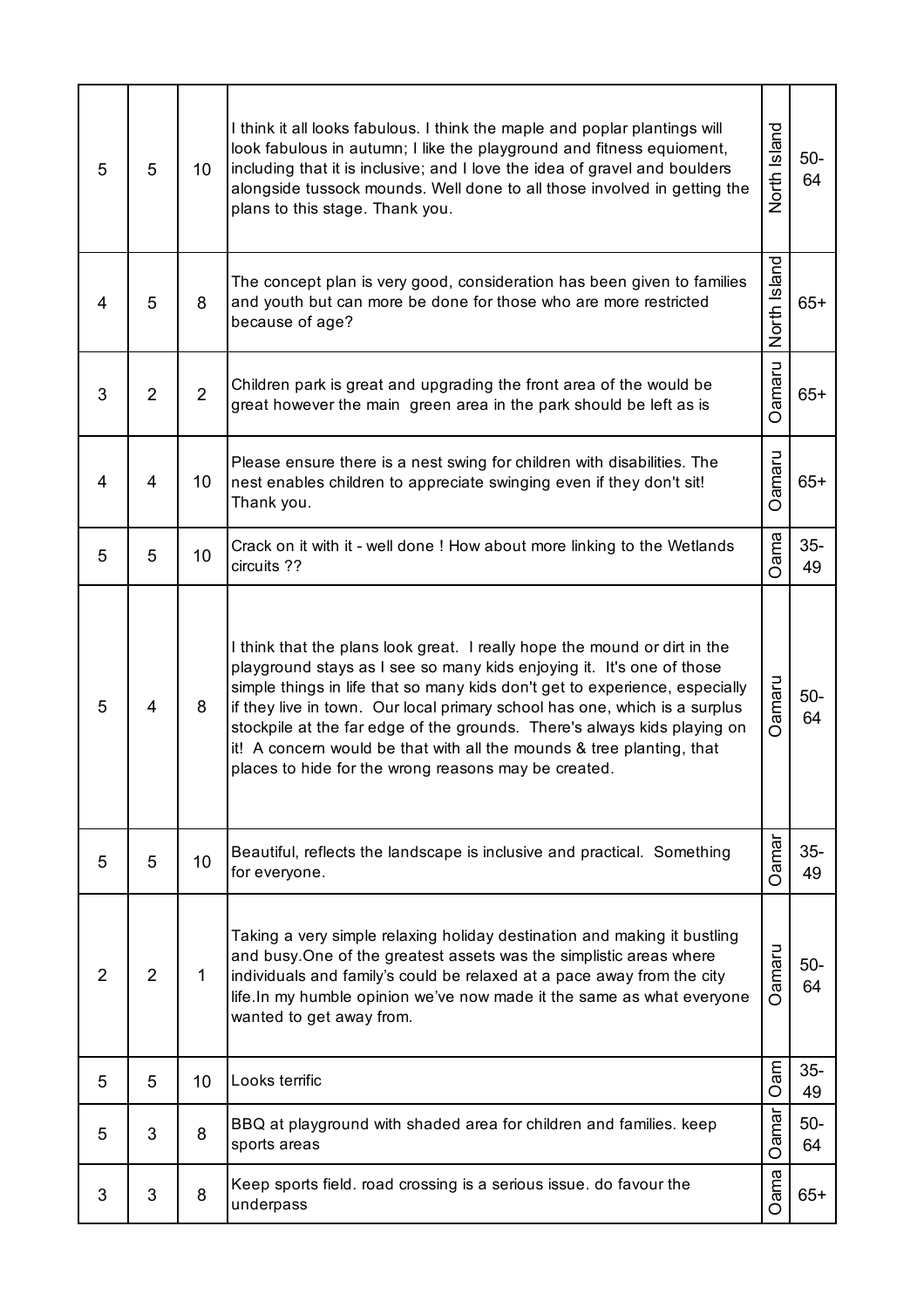| 5 | 5              | 10 <sup>°</sup> | I think it all looks fabulous. I think the maple and poplar plantings will<br>look fabulous in autumn; I like the playground and fitness equioment,<br>including that it is inclusive; and I love the idea of gravel and boulders<br>alongside tussock mounds. Well done to all those involved in getting the<br>plans to this stage. Thank you.                                                                                                                                                                             | North Island | $50-$<br>64 |
|---|----------------|-----------------|------------------------------------------------------------------------------------------------------------------------------------------------------------------------------------------------------------------------------------------------------------------------------------------------------------------------------------------------------------------------------------------------------------------------------------------------------------------------------------------------------------------------------|--------------|-------------|
| 4 | 5              | 8               | The concept plan is very good, consideration has been given to families<br>and youth but can more be done for those who are more restricted<br>because of age?                                                                                                                                                                                                                                                                                                                                                               | North Island | $65+$       |
| 3 | $\overline{2}$ | $\overline{2}$  | Children park is great and upgrading the front area of the would be<br>great however the main green area in the park should be left as is                                                                                                                                                                                                                                                                                                                                                                                    | Oamaru       | $65+$       |
| 4 | 4              | 10              | Please ensure there is a nest swing for children with disabilities. The<br>nest enables children to appreciate swinging even if they don't sit!<br>Thank you.                                                                                                                                                                                                                                                                                                                                                                | unama<br>O   | $65+$       |
| 5 | 5              | 10              | Crack on it with it - well done ! How about more linking to the Wetlands<br>circuits ??                                                                                                                                                                                                                                                                                                                                                                                                                                      | <b>Oama</b>  | $35-$<br>49 |
| 5 | $\overline{4}$ | 8               | I think that the plans look great. I really hope the mound or dirt in the<br>playground stays as I see so many kids enjoying it. It's one of those<br>simple things in life that so many kids don't get to experience, especially<br>if they live in town. Our local primary school has one, which is a surplus<br>stockpile at the far edge of the grounds. There's always kids playing on<br>it! A concern would be that with all the mounds & tree planting, that<br>places to hide for the wrong reasons may be created. | Oamaru       | $50-$<br>64 |
| 5 | 5              | 10 <sup>°</sup> | Beautiful, reflects the landscape is inclusive and practical. Something<br>for everyone.                                                                                                                                                                                                                                                                                                                                                                                                                                     | Oamar        | $35-$<br>49 |
| 2 | $\overline{2}$ | 1               | Taking a very simple relaxing holiday destination and making it bustling<br>and busy. One of the greatest assets was the simplistic areas where<br>individuals and family's could be relaxed at a pace away from the city<br>life. In my humble opinion we've now made it the same as what everyone<br>wanted to get away from.                                                                                                                                                                                              | Oamaru       | $50-$<br>64 |
| 5 | 5              | 10              | Looks terrific                                                                                                                                                                                                                                                                                                                                                                                                                                                                                                               | m<br>O       | $35-$<br>49 |
| 5 | 3              | 8               | BBQ at playground with shaded area for children and families. keep<br>sports areas                                                                                                                                                                                                                                                                                                                                                                                                                                           | Oamar        | $50-$<br>64 |
| 3 | 3              | 8               | Keep sports field. road crossing is a serious issue. do favour the<br>underpass                                                                                                                                                                                                                                                                                                                                                                                                                                              | <b>Oama</b>  | $65+$       |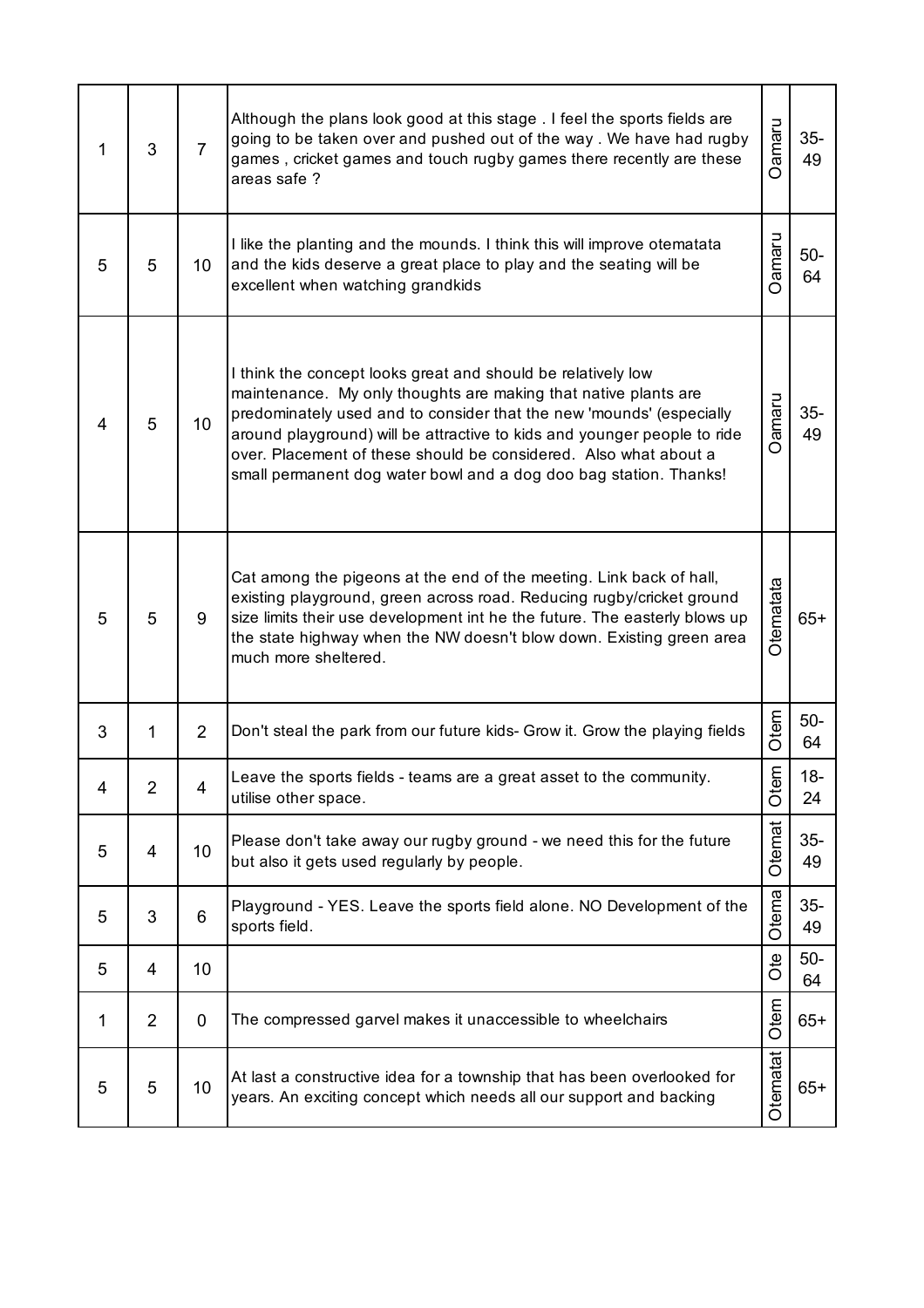| 1 | 3              | $\overline{7}$ | Although the plans look good at this stage . I feel the sports fields are<br>going to be taken over and pushed out of the way. We have had rugby<br>games, cricket games and touch rugby games there recently are these<br>areas safe ?                                                                                                                                                                                      | Oamaru        | $35-$<br>49  |
|---|----------------|----------------|------------------------------------------------------------------------------------------------------------------------------------------------------------------------------------------------------------------------------------------------------------------------------------------------------------------------------------------------------------------------------------------------------------------------------|---------------|--------------|
| 5 | 5              | 10             | I like the planting and the mounds. I think this will improve otematata<br>and the kids deserve a great place to play and the seating will be<br>excellent when watching grandkids                                                                                                                                                                                                                                           | <b>Oamaru</b> | $50-$<br>64  |
| 4 | 5              | 10             | I think the concept looks great and should be relatively low<br>maintenance. My only thoughts are making that native plants are<br>predominately used and to consider that the new 'mounds' (especially<br>around playground) will be attractive to kids and younger people to ride<br>over. Placement of these should be considered. Also what about a<br>small permanent dog water bowl and a dog doo bag station. Thanks! | Oamaru        | $35-$<br>49  |
| 5 | 5              | 9              | Cat among the pigeons at the end of the meeting. Link back of hall,<br>existing playground, green across road. Reducing rugby/cricket ground<br>size limits their use development int he the future. The easterly blows up<br>the state highway when the NW doesn't blow down. Existing green area<br>much more sheltered.                                                                                                   | Otematata     | $65+$        |
| 3 | 1              | $\overline{2}$ | Don't steal the park from our future kids- Grow it. Grow the playing fields                                                                                                                                                                                                                                                                                                                                                  | Otem          | $50-$<br>64  |
| 4 | $\overline{2}$ | 4              | Leave the sports fields - teams are a great asset to the community.<br>utilise other space.                                                                                                                                                                                                                                                                                                                                  | Ē<br>ð        | $18 -$<br>24 |
| 5 | 4              | 10             | Please don't take away our rugby ground - we need this for the future<br>but also it gets used regularly by people.                                                                                                                                                                                                                                                                                                          | Otemat        | $35-$<br>49  |
| 5 | 3              | 6              | Playground - YES. Leave the sports field alone. NO Development of the<br>sports field.                                                                                                                                                                                                                                                                                                                                       | Otema         | $35-$<br>49  |
| 5 | 4              | 10             |                                                                                                                                                                                                                                                                                                                                                                                                                              | Ote           | $50-$<br>64  |
| 1 | $\overline{2}$ | $\mathbf 0$    | The compressed garvel makes it unaccessible to wheelchairs                                                                                                                                                                                                                                                                                                                                                                   | Otem          | $65+$        |
| 5 | 5              | 10             | At last a constructive idea for a township that has been overlooked for<br>years. An exciting concept which needs all our support and backing                                                                                                                                                                                                                                                                                | Otematat      | $65+$        |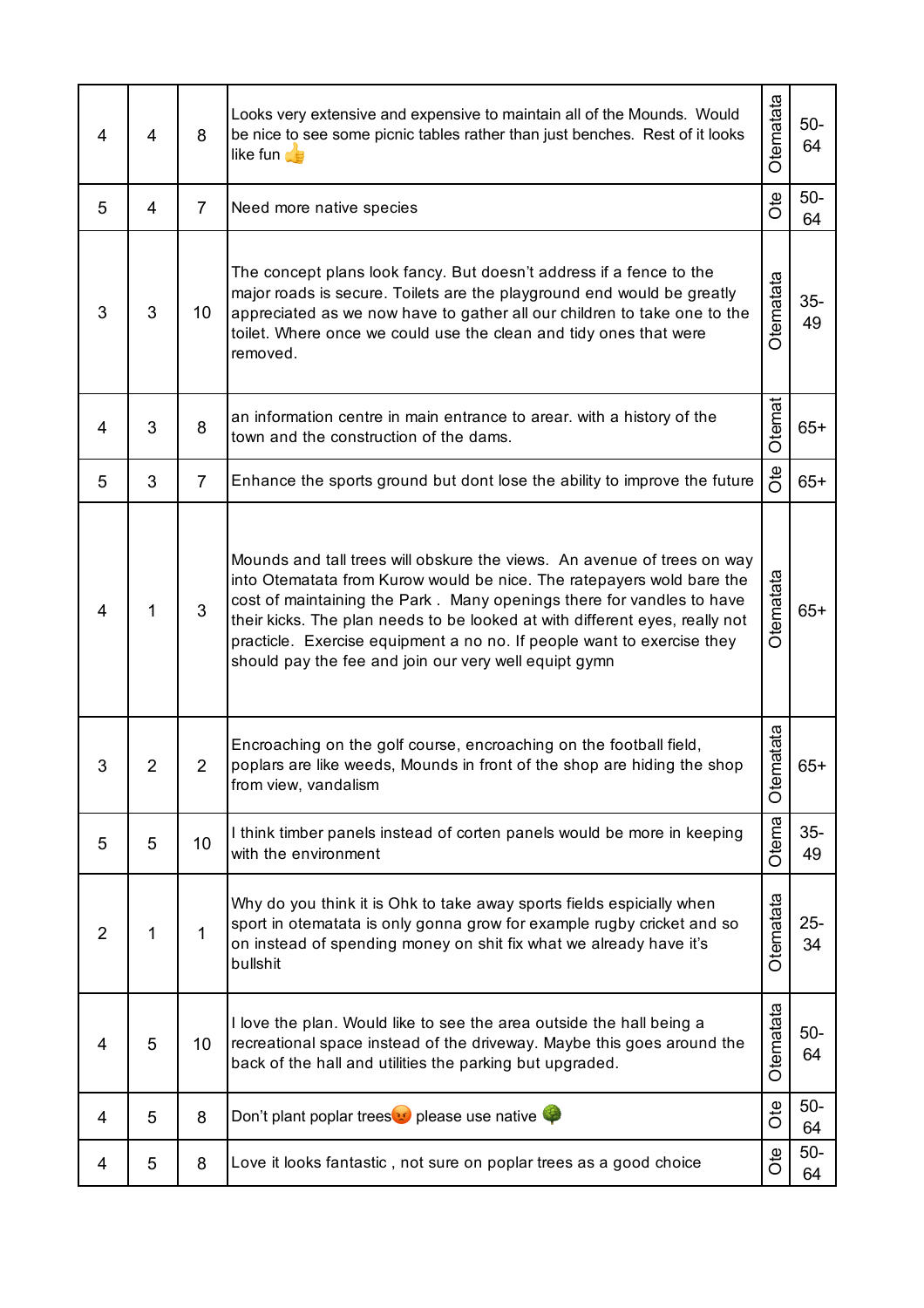| 4              | 4 | 8              | Looks very extensive and expensive to maintain all of the Mounds. Would<br>be nice to see some picnic tables rather than just benches. Rest of it looks<br>like fun                                                                                                                                                                                                                                                                         | Otematata | $50-$<br>64  |
|----------------|---|----------------|---------------------------------------------------------------------------------------------------------------------------------------------------------------------------------------------------------------------------------------------------------------------------------------------------------------------------------------------------------------------------------------------------------------------------------------------|-----------|--------------|
| 5              | 4 | $\overline{7}$ | Need more native species                                                                                                                                                                                                                                                                                                                                                                                                                    | ðte       | $50-$<br>64  |
| 3              | 3 | 10             | The concept plans look fancy. But doesn't address if a fence to the<br>major roads is secure. Toilets are the playground end would be greatly<br>appreciated as we now have to gather all our children to take one to the<br>toilet. Where once we could use the clean and tidy ones that were<br>removed.                                                                                                                                  | Otematata | $35-$<br>49  |
| 4              | 3 | 8              | an information centre in main entrance to arear. with a history of the<br>town and the construction of the dams.                                                                                                                                                                                                                                                                                                                            | Otemat    | $65+$        |
| 5              | 3 | $\overline{7}$ | Enhance the sports ground but dont lose the ability to improve the future                                                                                                                                                                                                                                                                                                                                                                   | Ote       | $65+$        |
| 4              | 1 | 3              | Mounds and tall trees will obskure the views. An avenue of trees on way<br>into Otematata from Kurow would be nice. The ratepayers wold bare the<br>cost of maintaining the Park. Many openings there for vandles to have<br>their kicks. The plan needs to be looked at with different eyes, really not<br>practicle. Exercise equipment a no no. If people want to exercise they<br>should pay the fee and join our very well equipt gymn | Otematata | $65+$        |
| 3              | 2 | 2              | Encroaching on the golf course, encroaching on the football field,<br>poplars are like weeds, Mounds in front of the shop are hiding the shop<br>from view, vandalism                                                                                                                                                                                                                                                                       | Otematata | $65+$        |
| 5              | 5 | 10             | I think timber panels instead of corten panels would be more in keeping<br>with the environment                                                                                                                                                                                                                                                                                                                                             | Otema     | $35-$<br>49  |
| $\overline{2}$ | 1 | 1              | Why do you think it is Ohk to take away sports fields espicially when<br>sport in otematata is only gonna grow for example rugby cricket and so<br>on instead of spending money on shit fix what we already have it's<br>bullshit                                                                                                                                                                                                           | Otematata | $25 -$<br>34 |
| 4              | 5 | 10             | I love the plan. Would like to see the area outside the hall being a<br>recreational space instead of the driveway. Maybe this goes around the<br>back of the hall and utilities the parking but upgraded.                                                                                                                                                                                                                                  | Otematata | $50-$<br>64  |
| 4              | 5 | 8              | Don't plant poplar trees <sup>10</sup> please use native                                                                                                                                                                                                                                                                                                                                                                                    | ðte       | $50-$<br>64  |
| 4              | 5 | 8              | Love it looks fantastic, not sure on poplar trees as a good choice                                                                                                                                                                                                                                                                                                                                                                          | Ote       | $50-$<br>64  |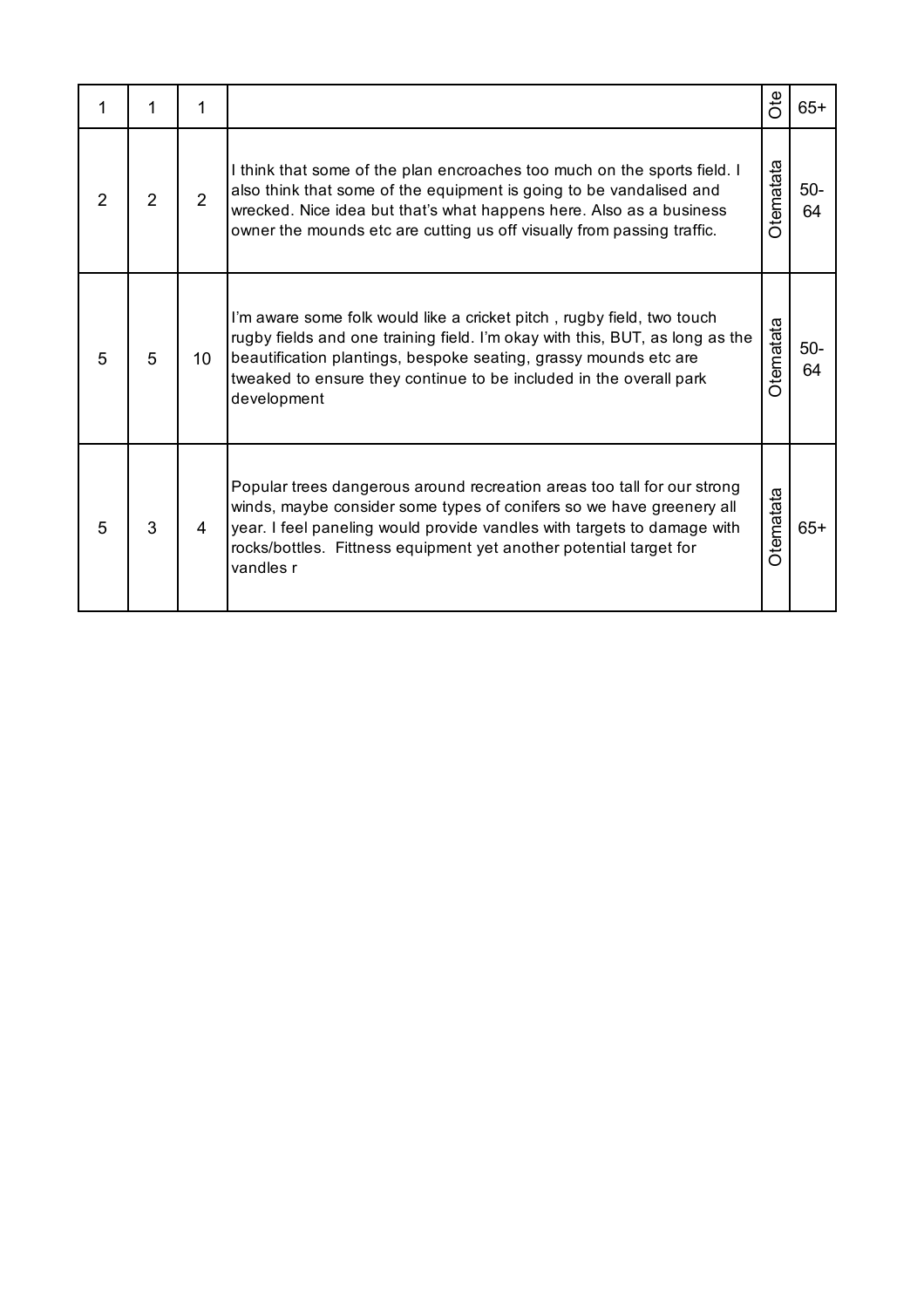|   | 1             | 1               |                                                                                                                                                                                                                                                                                                                 | <b>Ote</b>       | $65+$       |
|---|---------------|-----------------|-----------------------------------------------------------------------------------------------------------------------------------------------------------------------------------------------------------------------------------------------------------------------------------------------------------------|------------------|-------------|
| 2 | $\mathcal{P}$ | 2               | I think that some of the plan encroaches too much on the sports field. I<br>also think that some of the equipment is going to be vandalised and<br>wrecked. Nice idea but that's what happens here. Also as a business<br>owner the mounds etc are cutting us off visually from passing traffic.                | <b>Otematata</b> | $50-$<br>64 |
| 5 | 5             | 10 <sup>°</sup> | I'm aware some folk would like a cricket pitch, rugby field, two touch<br>rugby fields and one training field. I'm okay with this, BUT, as long as the<br>beautification plantings, bespoke seating, grassy mounds etc are<br>tweaked to ensure they continue to be included in the overall park<br>development | Otematata        | $50-$<br>64 |
| 5 | 3             | 4               | Popular trees dangerous around recreation areas too tall for our strong<br>winds, maybe consider some types of conifers so we have greenery all<br>year. I feel paneling would provide vandles with targets to damage with<br>rocks/bottles. Fittness equipment yet another potential target for<br>vandles r   | Otematata        | $65+$       |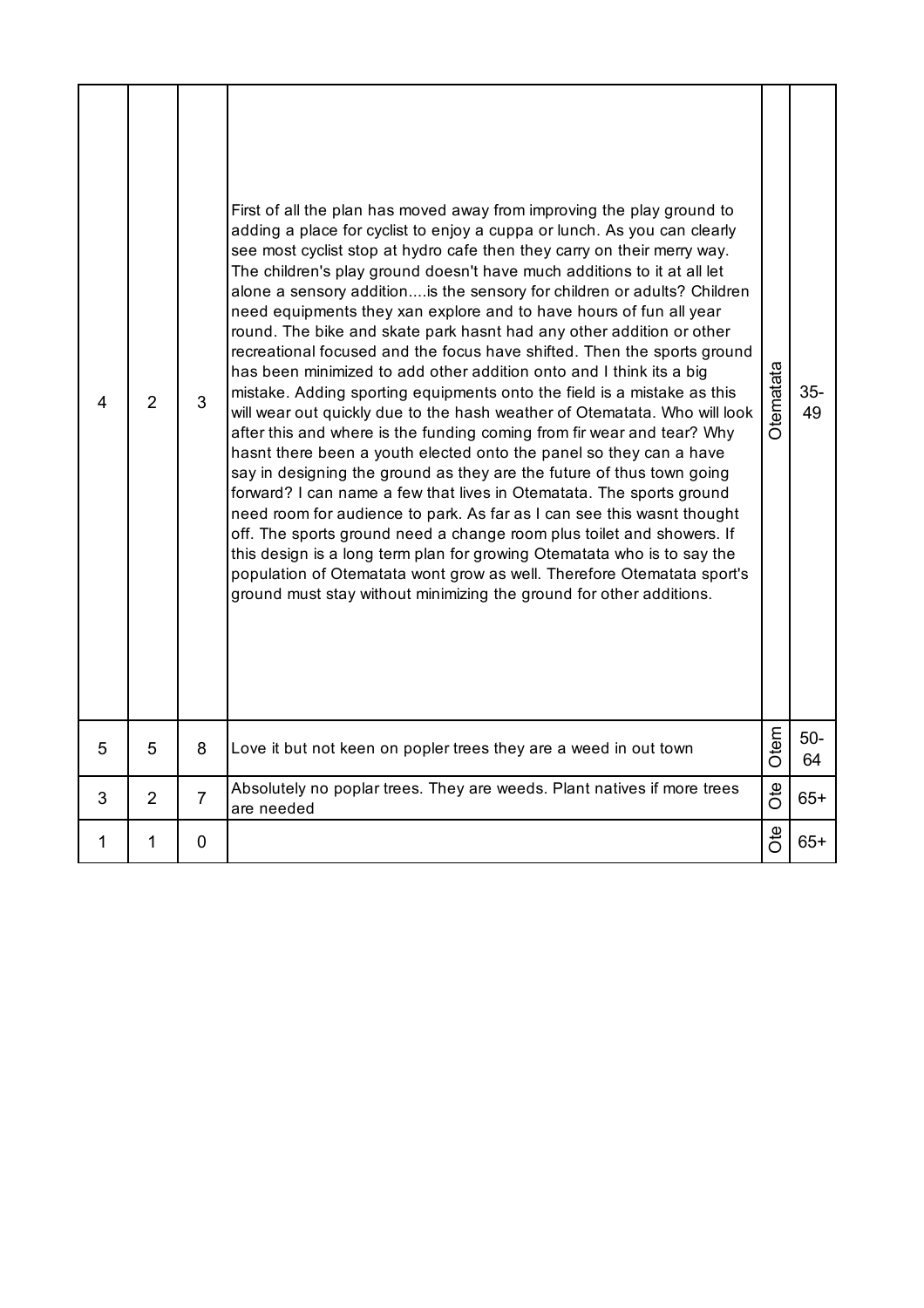| 4 | $\overline{2}$ | 3              | First of all the plan has moved away from improving the play ground to<br>adding a place for cyclist to enjoy a cuppa or lunch. As you can clearly<br>see most cyclist stop at hydro cafe then they carry on their merry way.<br>The children's play ground doesn't have much additions to it at all let<br>alone a sensory addition is the sensory for children or adults? Children<br>need equipments they xan explore and to have hours of fun all year<br>round. The bike and skate park hasnt had any other addition or other<br>recreational focused and the focus have shifted. Then the sports ground<br>has been minimized to add other addition onto and I think its a big<br>mistake. Adding sporting equipments onto the field is a mistake as this<br>will wear out quickly due to the hash weather of Otematata. Who will look<br>after this and where is the funding coming from fir wear and tear? Why<br>hasnt there been a youth elected onto the panel so they can a have<br>say in designing the ground as they are the future of thus town going<br>forward? I can name a few that lives in Otematata. The sports ground<br>need room for audience to park. As far as I can see this wasnt thought<br>off. The sports ground need a change room plus toilet and showers. If<br>this design is a long term plan for growing Otematata who is to say the<br>population of Otematata wont grow as well. Therefore Otematata sport's<br>ground must stay without minimizing the ground for other additions. | Otematata | $35-$<br>49 |  |
|---|----------------|----------------|------------------------------------------------------------------------------------------------------------------------------------------------------------------------------------------------------------------------------------------------------------------------------------------------------------------------------------------------------------------------------------------------------------------------------------------------------------------------------------------------------------------------------------------------------------------------------------------------------------------------------------------------------------------------------------------------------------------------------------------------------------------------------------------------------------------------------------------------------------------------------------------------------------------------------------------------------------------------------------------------------------------------------------------------------------------------------------------------------------------------------------------------------------------------------------------------------------------------------------------------------------------------------------------------------------------------------------------------------------------------------------------------------------------------------------------------------------------------------------------------------------------------------|-----------|-------------|--|
| 5 | 5              | 8              | Love it but not keen on popler trees they are a weed in out town                                                                                                                                                                                                                                                                                                                                                                                                                                                                                                                                                                                                                                                                                                                                                                                                                                                                                                                                                                                                                                                                                                                                                                                                                                                                                                                                                                                                                                                             | Otem      | $50-$<br>64 |  |
| 3 | $\overline{2}$ | $\overline{7}$ | Absolutely no poplar trees. They are weeds. Plant natives if more trees<br>are needed                                                                                                                                                                                                                                                                                                                                                                                                                                                                                                                                                                                                                                                                                                                                                                                                                                                                                                                                                                                                                                                                                                                                                                                                                                                                                                                                                                                                                                        | ðte       | $65+$       |  |
| 1 | 1              | 0              |                                                                                                                                                                                                                                                                                                                                                                                                                                                                                                                                                                                                                                                                                                                                                                                                                                                                                                                                                                                                                                                                                                                                                                                                                                                                                                                                                                                                                                                                                                                              | ðte       | $65+$       |  |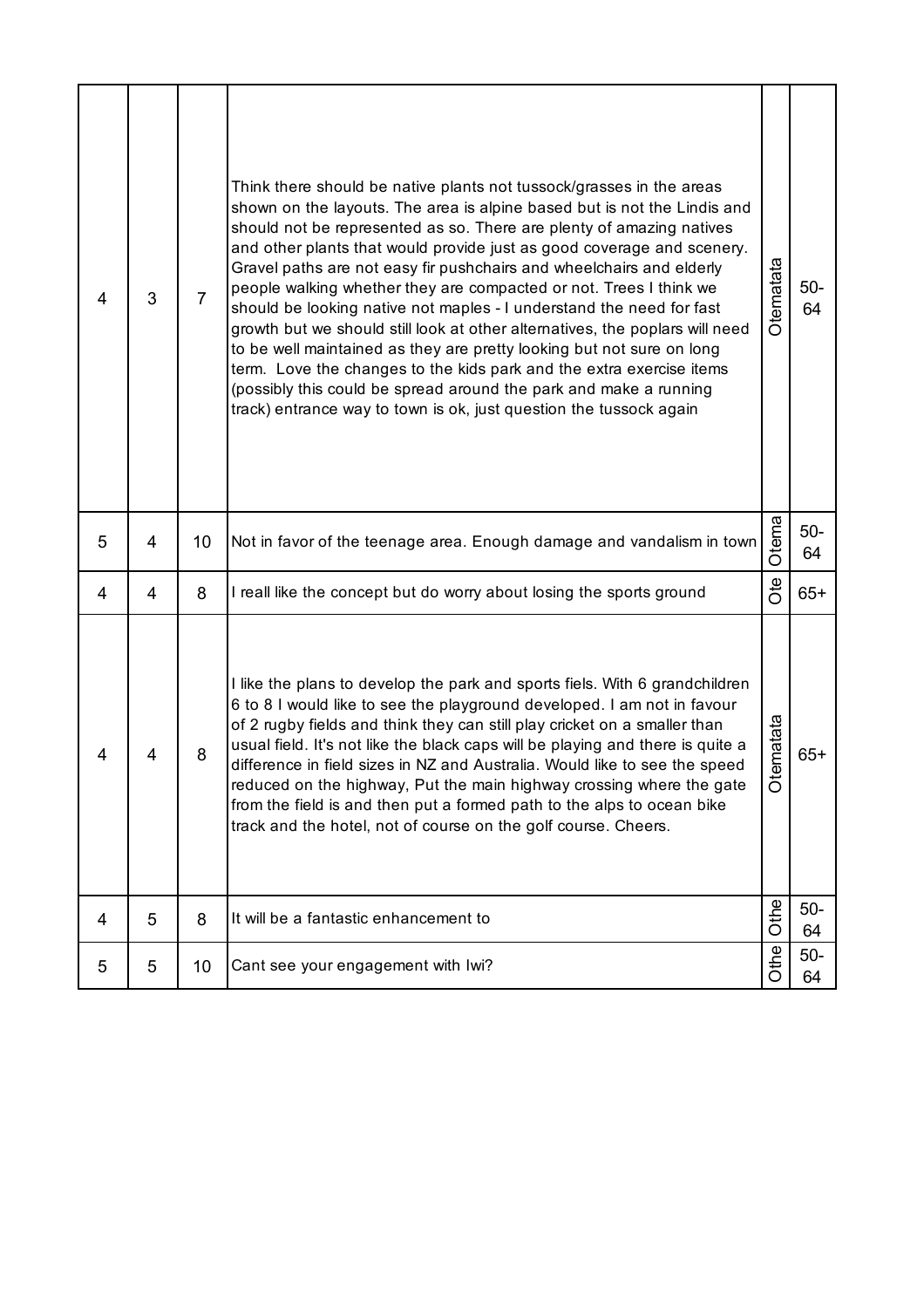| 4 | 3 | $\overline{7}$ | Think there should be native plants not tussock/grasses in the areas<br>shown on the layouts. The area is alpine based but is not the Lindis and<br>should not be represented as so. There are plenty of amazing natives<br>and other plants that would provide just as good coverage and scenery.<br>Gravel paths are not easy fir pushchairs and wheelchairs and elderly<br>people walking whether they are compacted or not. Trees I think we<br>should be looking native not maples - I understand the need for fast<br>growth but we should still look at other alternatives, the poplars will need<br>to be well maintained as they are pretty looking but not sure on long<br>term. Love the changes to the kids park and the extra exercise items<br>(possibly this could be spread around the park and make a running<br>track) entrance way to town is ok, just question the tussock again | Otematata          | $50-$<br>64 |
|---|---|----------------|------------------------------------------------------------------------------------------------------------------------------------------------------------------------------------------------------------------------------------------------------------------------------------------------------------------------------------------------------------------------------------------------------------------------------------------------------------------------------------------------------------------------------------------------------------------------------------------------------------------------------------------------------------------------------------------------------------------------------------------------------------------------------------------------------------------------------------------------------------------------------------------------------|--------------------|-------------|
| 5 | 4 | 10             | Not in favor of the teenage area. Enough damage and vandalism in town                                                                                                                                                                                                                                                                                                                                                                                                                                                                                                                                                                                                                                                                                                                                                                                                                                | Otema              | $50-$<br>64 |
| 4 | 4 | 8              | I reall like the concept but do worry about losing the sports ground                                                                                                                                                                                                                                                                                                                                                                                                                                                                                                                                                                                                                                                                                                                                                                                                                                 | Ote                | $65+$       |
|   | 4 | 8              | I like the plans to develop the park and sports fiels. With 6 grandchildren<br>6 to 8 I would like to see the playground developed. I am not in favour<br>of 2 rugby fields and think they can still play cricket on a smaller than<br>usual field. It's not like the black caps will be playing and there is quite a<br>difference in field sizes in NZ and Australia. Would like to see the speed<br>reduced on the highway, Put the main highway crossing where the gate<br>from the field is and then put a formed path to the alps to ocean bike<br>track and the hotel, not of course on the golf course. Cheers.                                                                                                                                                                                                                                                                              | ematata<br>$\circ$ | $65+$       |
| 4 | 5 | 8              | It will be a fantastic enhancement to                                                                                                                                                                                                                                                                                                                                                                                                                                                                                                                                                                                                                                                                                                                                                                                                                                                                | Othe               | $50-$<br>64 |
| 5 | 5 | 10             | Cant see your engagement with Iwi?                                                                                                                                                                                                                                                                                                                                                                                                                                                                                                                                                                                                                                                                                                                                                                                                                                                                   | Othe               | $50-$<br>64 |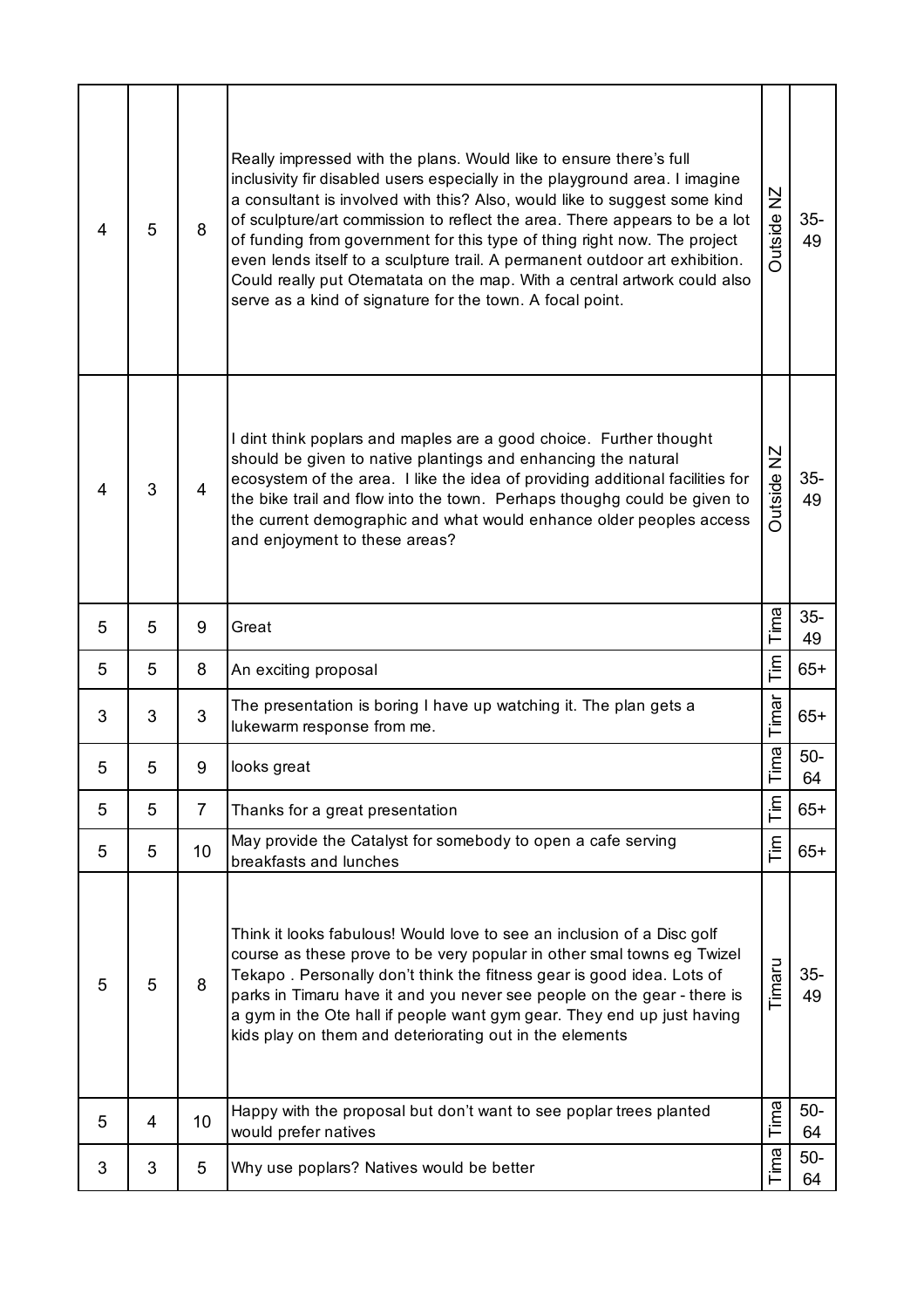| 4 | 5 | 8              | Really impressed with the plans. Would like to ensure there's full<br>inclusivity fir disabled users especially in the playground area. I imagine<br>a consultant is involved with this? Also, would like to suggest some kind<br>of sculpture/art commission to reflect the area. There appears to be a lot<br>of funding from government for this type of thing right now. The project<br>even lends itself to a sculpture trail. A permanent outdoor art exhibition.<br>Could really put Otematata on the map. With a central artwork could also<br>serve as a kind of signature for the town. A focal point. | Outside NZ        | $35-$<br>49  |
|---|---|----------------|------------------------------------------------------------------------------------------------------------------------------------------------------------------------------------------------------------------------------------------------------------------------------------------------------------------------------------------------------------------------------------------------------------------------------------------------------------------------------------------------------------------------------------------------------------------------------------------------------------------|-------------------|--------------|
| 4 | 3 | 4              | I dint think poplars and maples are a good choice. Further thought<br>should be given to native plantings and enhancing the natural<br>ecosystem of the area. I like the idea of providing additional facilities for<br>the bike trail and flow into the town. Perhaps thoughg could be given to<br>the current demographic and what would enhance older peoples access<br>and enjoyment to these areas?                                                                                                                                                                                                         | Outside NZ        | $35-$<br>49  |
| 5 | 5 | 9              | Great                                                                                                                                                                                                                                                                                                                                                                                                                                                                                                                                                                                                            | Tima              | $35 -$<br>49 |
| 5 | 5 | 8              | An exciting proposal                                                                                                                                                                                                                                                                                                                                                                                                                                                                                                                                                                                             | im<br>Tim         | $65+$        |
| 3 | 3 | 3              | The presentation is boring I have up watching it. The plan gets a<br>lukewarm response from me.                                                                                                                                                                                                                                                                                                                                                                                                                                                                                                                  | Timar             | $65+$        |
| 5 | 5 | 9              | looks great                                                                                                                                                                                                                                                                                                                                                                                                                                                                                                                                                                                                      | ma <sub>.</sub>   | $50-$<br>64  |
| 5 | 5 | $\overline{7}$ | Thanks for a great presentation                                                                                                                                                                                                                                                                                                                                                                                                                                                                                                                                                                                  | $\overline{T}$ im | $65+$        |
| 5 | 5 | 10             | May provide the Catalyst for somebody to open a cafe serving<br>breakfasts and lunches                                                                                                                                                                                                                                                                                                                                                                                                                                                                                                                           | Tim               | $65+$        |
| 5 | 5 | 8              | Think it looks fabulous! Would love to see an inclusion of a Disc golf<br>course as these prove to be very popular in other smal towns eg Twizel<br>Tekapo. Personally don't think the fitness gear is good idea. Lots of<br>parks in Timaru have it and you never see people on the gear - there is<br>a gym in the Ote hall if people want gym gear. They end up just having<br>kids play on them and deteriorating out in the elements                                                                                                                                                                        | Timaru            | $35-$<br>49  |
| 5 | 4 | 10             | Happy with the proposal but don't want to see poplar trees planted<br>would prefer natives                                                                                                                                                                                                                                                                                                                                                                                                                                                                                                                       | Tima              | $50-$<br>64  |
| 3 | 3 | 5              | Why use poplars? Natives would be better                                                                                                                                                                                                                                                                                                                                                                                                                                                                                                                                                                         | Tima              | $50-$<br>64  |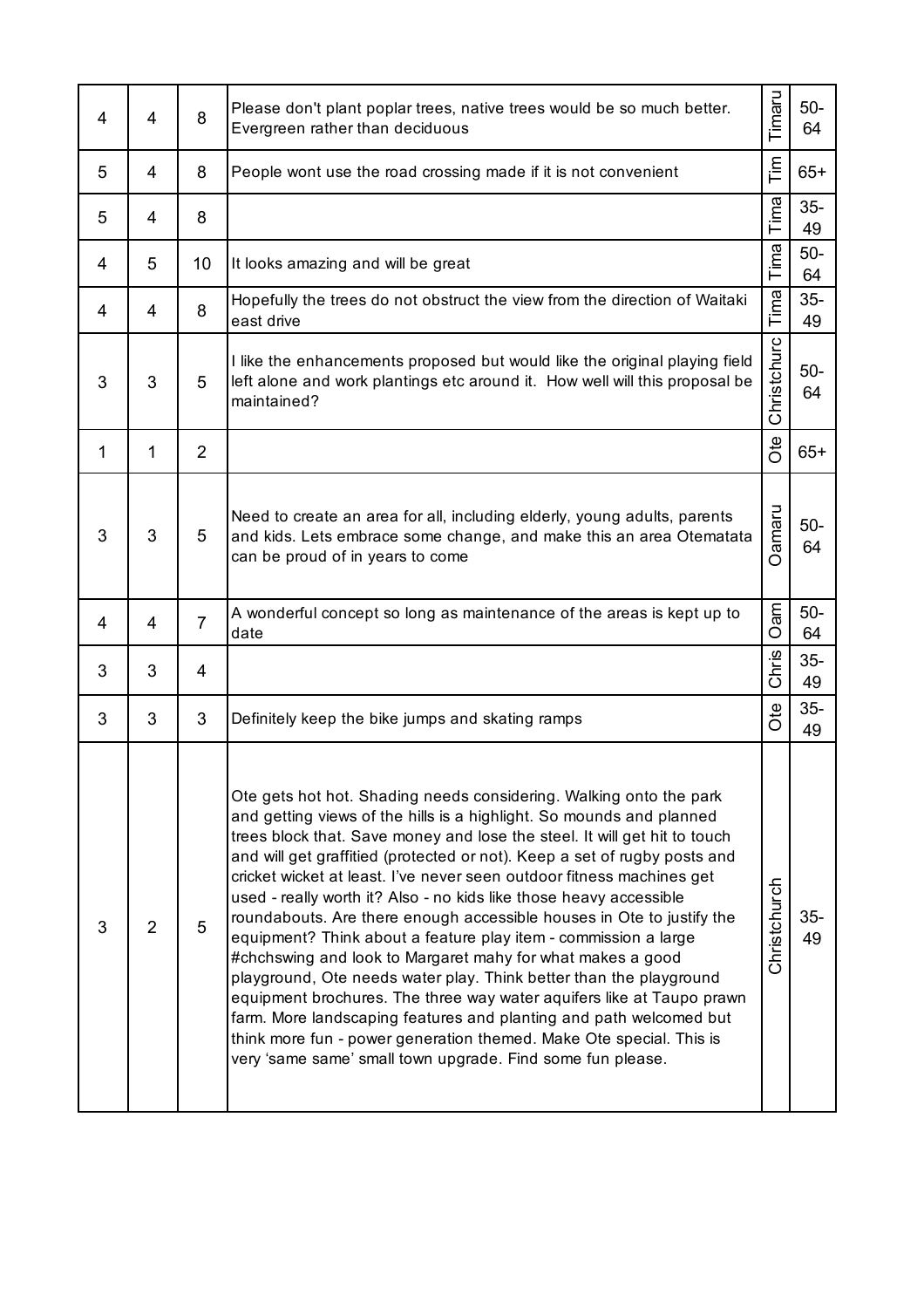| 4 | 4              | 8              | Please don't plant poplar trees, native trees would be so much better.<br>Evergreen rather than deciduous                                                                                                                                                                                                                                                                                                                                                                                                                                                                                                                                                                                                                                                                                                                                                                                                                                                                                                               | Timaru        | $50-$<br>64  |
|---|----------------|----------------|-------------------------------------------------------------------------------------------------------------------------------------------------------------------------------------------------------------------------------------------------------------------------------------------------------------------------------------------------------------------------------------------------------------------------------------------------------------------------------------------------------------------------------------------------------------------------------------------------------------------------------------------------------------------------------------------------------------------------------------------------------------------------------------------------------------------------------------------------------------------------------------------------------------------------------------------------------------------------------------------------------------------------|---------------|--------------|
| 5 | 4              | 8              | People wont use the road crossing made if it is not convenient                                                                                                                                                                                                                                                                                                                                                                                                                                                                                                                                                                                                                                                                                                                                                                                                                                                                                                                                                          | im<br>Tim     | $65+$        |
| 5 | 4              | 8              |                                                                                                                                                                                                                                                                                                                                                                                                                                                                                                                                                                                                                                                                                                                                                                                                                                                                                                                                                                                                                         | Tima          | $35-$<br>49  |
| 4 | 5              | 10             | It looks amazing and will be great                                                                                                                                                                                                                                                                                                                                                                                                                                                                                                                                                                                                                                                                                                                                                                                                                                                                                                                                                                                      | Tima          | $50-$<br>64  |
| 4 | 4              | 8              | Hopefully the trees do not obstruct the view from the direction of Waitaki<br>east drive                                                                                                                                                                                                                                                                                                                                                                                                                                                                                                                                                                                                                                                                                                                                                                                                                                                                                                                                | Tima          | $35-$<br>49  |
| 3 | 3              | 5              | I like the enhancements proposed but would like the original playing field<br>left alone and work plantings etc around it. How well will this proposal be<br>maintained?                                                                                                                                                                                                                                                                                                                                                                                                                                                                                                                                                                                                                                                                                                                                                                                                                                                | Christchurc   | $50-$<br>64  |
| 1 | 1              | $\overline{2}$ |                                                                                                                                                                                                                                                                                                                                                                                                                                                                                                                                                                                                                                                                                                                                                                                                                                                                                                                                                                                                                         | <b>Ote</b>    | $65+$        |
| 3 | 3              | 5              | Need to create an area for all, including elderly, young adults, parents<br>and kids. Lets embrace some change, and make this an area Otematata<br>can be proud of in years to come                                                                                                                                                                                                                                                                                                                                                                                                                                                                                                                                                                                                                                                                                                                                                                                                                                     | Oamaru        | $50-$<br>64  |
| 4 | $\overline{4}$ | $\overline{7}$ | A wonderful concept so long as maintenance of the areas is kept up to<br>date                                                                                                                                                                                                                                                                                                                                                                                                                                                                                                                                                                                                                                                                                                                                                                                                                                                                                                                                           | me<br>$\circ$ | $50-$<br>64  |
| 3 | 3              | 4              |                                                                                                                                                                                                                                                                                                                                                                                                                                                                                                                                                                                                                                                                                                                                                                                                                                                                                                                                                                                                                         | Chris         | $35-$<br>49  |
| 3 | 3              | 3              | Definitely keep the bike jumps and skating ramps                                                                                                                                                                                                                                                                                                                                                                                                                                                                                                                                                                                                                                                                                                                                                                                                                                                                                                                                                                        | ðte           | $35 -$<br>49 |
| 3 | $\overline{2}$ | 5              | Ote gets hot hot. Shading needs considering. Walking onto the park<br>and getting views of the hills is a highlight. So mounds and planned<br>trees block that. Save money and lose the steel. It will get hit to touch<br>and will get graffitied (protected or not). Keep a set of rugby posts and<br>cricket wicket at least. I've never seen outdoor fitness machines get<br>used - really worth it? Also - no kids like those heavy accessible<br>roundabouts. Are there enough accessible houses in Ote to justify the<br>equipment? Think about a feature play item - commission a large<br>#chchswing and look to Margaret mahy for what makes a good<br>playground, Ote needs water play. Think better than the playground<br>equipment brochures. The three way water aquifers like at Taupo prawn<br>farm. More landscaping features and planting and path welcomed but<br>think more fun - power generation themed. Make Ote special. This is<br>very 'same same' small town upgrade. Find some fun please. | Christchurch  | $35-$<br>49  |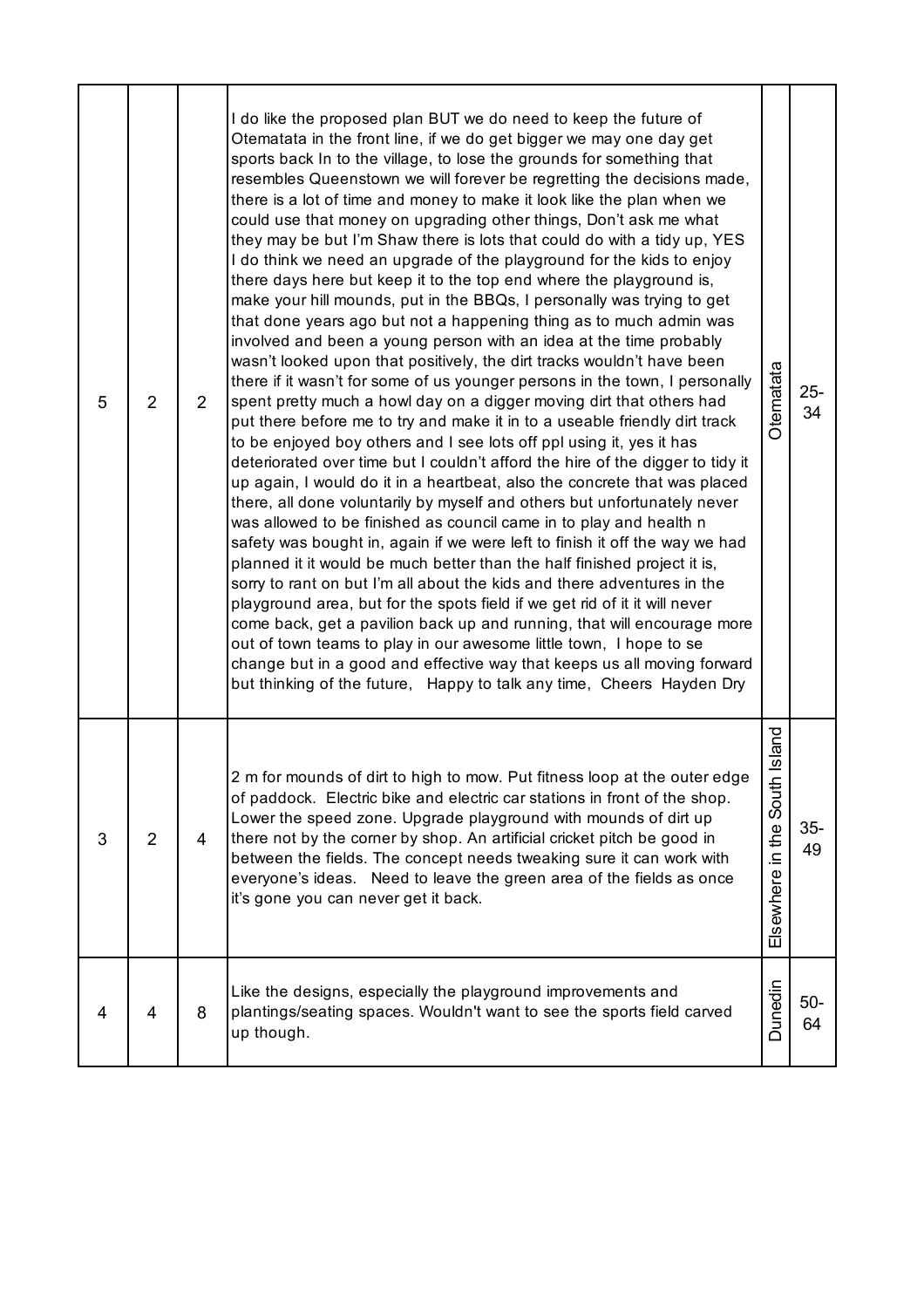| 5 | $\overline{2}$ | $\overline{2}$ | I do like the proposed plan BUT we do need to keep the future of<br>Otematata in the front line, if we do get bigger we may one day get<br>sports back In to the village, to lose the grounds for something that<br>resembles Queenstown we will forever be regretting the decisions made,<br>there is a lot of time and money to make it look like the plan when we<br>could use that money on upgrading other things, Don't ask me what<br>they may be but I'm Shaw there is lots that could do with a tidy up, YES<br>I do think we need an upgrade of the playground for the kids to enjoy<br>there days here but keep it to the top end where the playground is,<br>make your hill mounds, put in the BBQs, I personally was trying to get<br>that done years ago but not a happening thing as to much admin was<br>involved and been a young person with an idea at the time probably<br>wasn't looked upon that positively, the dirt tracks wouldn't have been<br>there if it wasn't for some of us younger persons in the town, I personally<br>spent pretty much a howl day on a digger moving dirt that others had<br>put there before me to try and make it in to a useable friendly dirt track<br>to be enjoyed boy others and I see lots off ppl using it, yes it has<br>deteriorated over time but I couldn't afford the hire of the digger to tidy it<br>up again, I would do it in a heartbeat, also the concrete that was placed<br>there, all done voluntarily by myself and others but unfortunately never<br>was allowed to be finished as council came in to play and health n<br>safety was bought in, again if we were left to finish it off the way we had<br>planned it it would be much better than the half finished project it is,<br>sorry to rant on but I'm all about the kids and there adventures in the<br>playground area, but for the spots field if we get rid of it it will never<br>come back, get a pavilion back up and running, that will encourage more<br>out of town teams to play in our awesome little town, I hope to se<br>change but in a good and effective way that keeps us all moving forward<br>but thinking of the future, Happy to talk any time, Cheers Hayden Dry | Otematata                             | $25 -$<br>34 |
|---|----------------|----------------|------------------------------------------------------------------------------------------------------------------------------------------------------------------------------------------------------------------------------------------------------------------------------------------------------------------------------------------------------------------------------------------------------------------------------------------------------------------------------------------------------------------------------------------------------------------------------------------------------------------------------------------------------------------------------------------------------------------------------------------------------------------------------------------------------------------------------------------------------------------------------------------------------------------------------------------------------------------------------------------------------------------------------------------------------------------------------------------------------------------------------------------------------------------------------------------------------------------------------------------------------------------------------------------------------------------------------------------------------------------------------------------------------------------------------------------------------------------------------------------------------------------------------------------------------------------------------------------------------------------------------------------------------------------------------------------------------------------------------------------------------------------------------------------------------------------------------------------------------------------------------------------------------------------------------------------------------------------------------------------------------------------------------------------------------------------------------------------------------------------------------------------------------------------------------------------------------------------------------|---------------------------------------|--------------|
| 3 | $\overline{2}$ | 4              | 2 m for mounds of dirt to high to mow. Put fitness loop at the outer edge<br>of paddock. Electric bike and electric car stations in front of the shop.<br>Lower the speed zone. Upgrade playground with mounds of dirt up<br>there not by the corner by shop. An artificial cricket pitch be good in<br>between the fields. The concept needs tweaking sure it can work with<br>everyone's ideas. Need to leave the green area of the fields as once<br>it's gone you can never get it back.                                                                                                                                                                                                                                                                                                                                                                                                                                                                                                                                                                                                                                                                                                                                                                                                                                                                                                                                                                                                                                                                                                                                                                                                                                                                                                                                                                                                                                                                                                                                                                                                                                                                                                                                 | h Island<br>South<br>Elsewhere in the | $35 -$<br>49 |
| 4 | 4              | 8              | Like the designs, especially the playground improvements and<br>plantings/seating spaces. Wouldn't want to see the sports field carved<br>up though.                                                                                                                                                                                                                                                                                                                                                                                                                                                                                                                                                                                                                                                                                                                                                                                                                                                                                                                                                                                                                                                                                                                                                                                                                                                                                                                                                                                                                                                                                                                                                                                                                                                                                                                                                                                                                                                                                                                                                                                                                                                                         | Dunedin                               | $50-$<br>64  |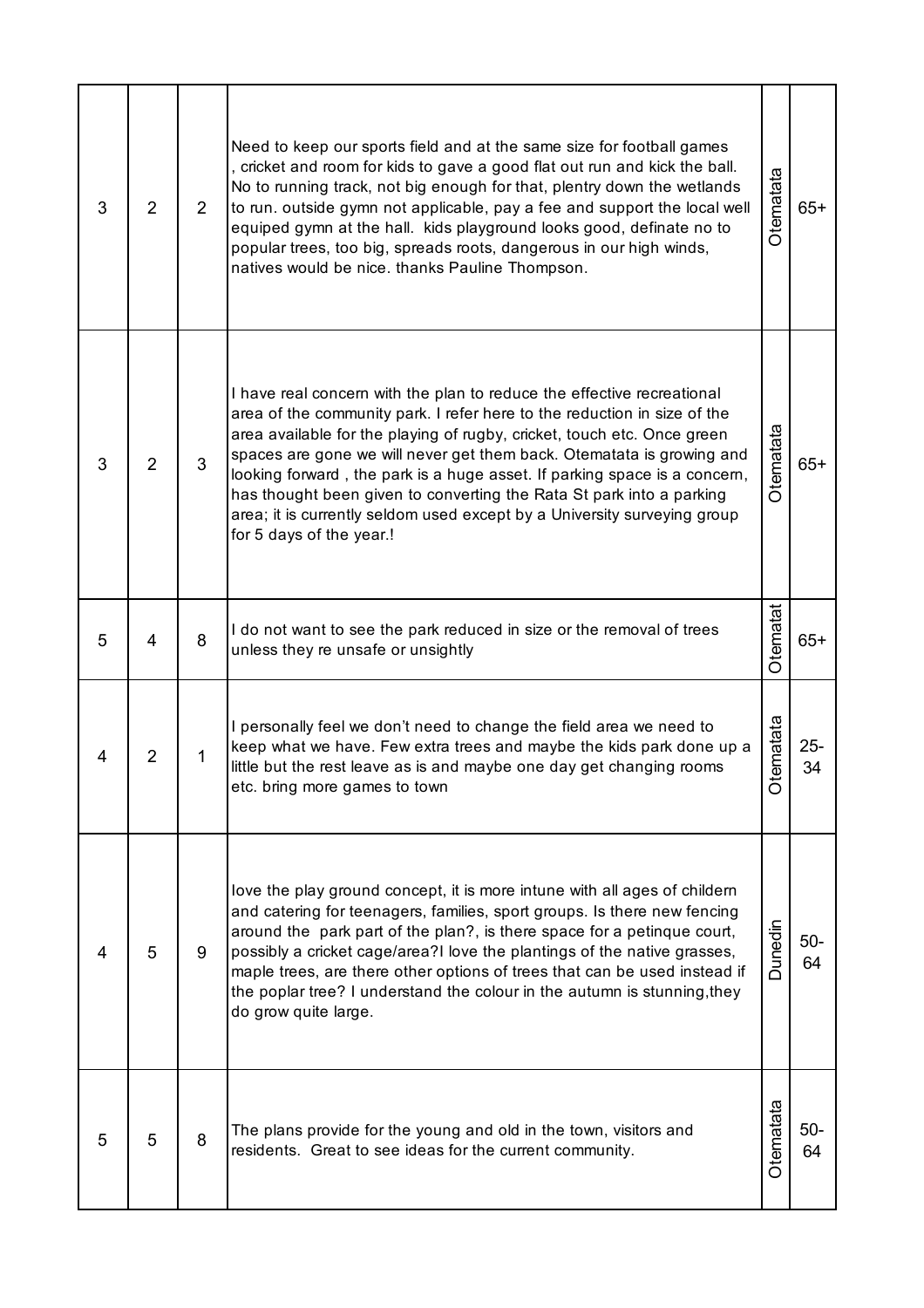| 3 | $\overline{2}$ | $\overline{2}$ | Need to keep our sports field and at the same size for football games<br>, cricket and room for kids to gave a good flat out run and kick the ball.<br>No to running track, not big enough for that, plentry down the wetlands<br>to run. outside gymn not applicable, pay a fee and support the local well<br>equiped gymn at the hall. kids playground looks good, definate no to<br>popular trees, too big, spreads roots, dangerous in our high winds,<br>natives would be nice. thanks Pauline Thompson.                                                       | Otematata      | $65+$        |
|---|----------------|----------------|---------------------------------------------------------------------------------------------------------------------------------------------------------------------------------------------------------------------------------------------------------------------------------------------------------------------------------------------------------------------------------------------------------------------------------------------------------------------------------------------------------------------------------------------------------------------|----------------|--------------|
| 3 | $\overline{2}$ | 3              | I have real concern with the plan to reduce the effective recreational<br>area of the community park. I refer here to the reduction in size of the<br>area available for the playing of rugby, cricket, touch etc. Once green<br>spaces are gone we will never get them back. Otematata is growing and<br>looking forward, the park is a huge asset. If parking space is a concern,<br>has thought been given to converting the Rata St park into a parking<br>area; it is currently seldom used except by a University surveying group<br>for 5 days of the year.! | Otematata      | $65+$        |
| 5 | 4              | 8              | I do not want to see the park reduced in size or the removal of trees<br>unless they re unsafe or unsightly                                                                                                                                                                                                                                                                                                                                                                                                                                                         | Otematat       | $65+$        |
| 4 | $\overline{2}$ | 1              | I personally feel we don't need to change the field area we need to<br>keep what we have. Few extra trees and maybe the kids park done up a<br>little but the rest leave as is and maybe one day get changing rooms<br>etc. bring more games to town                                                                                                                                                                                                                                                                                                                | tematata<br>O  | $25 -$<br>34 |
| 4 | 5              | 9              | love the play ground concept, it is more intune with all ages of childern<br>and catering for teenagers, families, sport groups. Is there new fencing<br>around the park part of the plan?, is there space for a petinque court,<br>possibly a cricket cage/area?I love the plantings of the native grasses,<br>maple trees, are there other options of trees that can be used instead if<br>the poplar tree? I understand the colour in the autumn is stunning, they<br>do grow quite large.                                                                       | <b>Dunedin</b> | $50-$<br>64  |
| 5 | 5              | 8              | The plans provide for the young and old in the town, visitors and<br>residents. Great to see ideas for the current community.                                                                                                                                                                                                                                                                                                                                                                                                                                       | Otematata      | $50-$<br>64  |